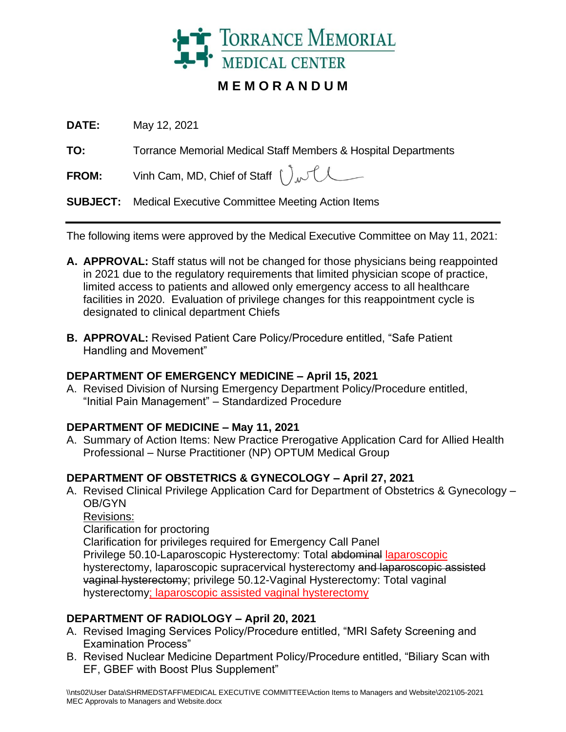

# **M E M O R A N D U M**

**DATE:** May 12, 2021

**TO:** Torrance Memorial Medical Staff Members & Hospital Departments

**FROM:** Vinh Cam, MD, Chief of Staff  $\int_{\mathcal{N}}\int_{\mathcal{N}}$ 

**SUBJECT:** Medical Executive Committee Meeting Action Items

The following items were approved by the Medical Executive Committee on May 11, 2021:

- **A. APPROVAL:** Staff status will not be changed for those physicians being reappointed in 2021 due to the regulatory requirements that limited physician scope of practice, limited access to patients and allowed only emergency access to all healthcare facilities in 2020. Evaluation of privilege changes for this reappointment cycle is designated to clinical department Chiefs
- **B. APPROVAL:** Revised Patient Care Policy/Procedure entitled, "Safe Patient Handling and Movement"

## **DEPARTMENT OF EMERGENCY MEDICINE – April 15, 2021**

A. Revised Division of Nursing Emergency Department Policy/Procedure entitled, "Initial Pain Management" – Standardized Procedure

## **DEPARTMENT OF MEDICINE – May 11, 2021**

A. Summary of Action Items: New Practice Prerogative Application Card for Allied Health Professional – Nurse Practitioner (NP) OPTUM Medical Group

## **DEPARTMENT OF OBSTETRICS & GYNECOLOGY – April 27, 2021**

- A. Revised Clinical Privilege Application Card for Department of Obstetrics & Gynecology OB/GYN
	- Revisions:
	- Clarification for proctoring

Clarification for privileges required for Emergency Call Panel Privilege 50.10-Laparoscopic Hysterectomy: Total abdominal laparoscopic hysterectomy, laparoscopic supracervical hysterectomy and laparoscopic assisted vaginal hysterectomy; privilege 50.12-Vaginal Hysterectomy: Total vaginal hysterectomy; laparoscopic assisted vaginal hysterectomy

## **DEPARTMENT OF RADIOLOGY – April 20, 2021**

- A. Revised Imaging Services Policy/Procedure entitled, "MRI Safety Screening and Examination Process"
- B. Revised Nuclear Medicine Department Policy/Procedure entitled, "Biliary Scan with EF, GBEF with Boost Plus Supplement"